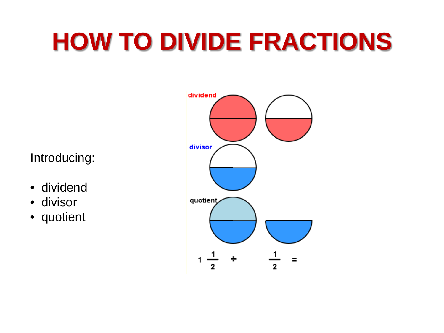# **HOW TO DIVIDE FRACTIONS**

Introducing:

- dividend
- divisor
- quotient

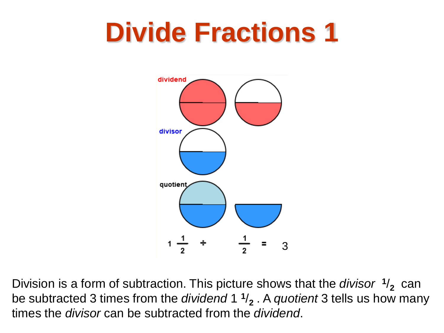

Division is a form of subtraction. This picture shows that the *divisor* **<sup>1</sup>**/**2** can be subtracted 3 times from the *dividend* 1 **<sup>1</sup>**/**<sup>2</sup>** . A *quotient* 3 tells us how many times the *divisor* can be subtracted from the *dividend*.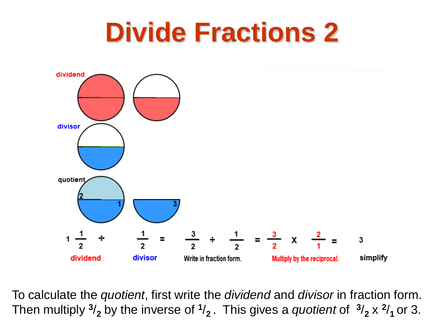

To calculate the *quotient*, first write the *dividend* and *divisor* in fraction form. Then multiply  $\frac{3}{2}$  by the inverse of  $\frac{1}{2}$ . This gives a *quotient* of  $\frac{3}{2} \times \frac{2}{1}$  or 3.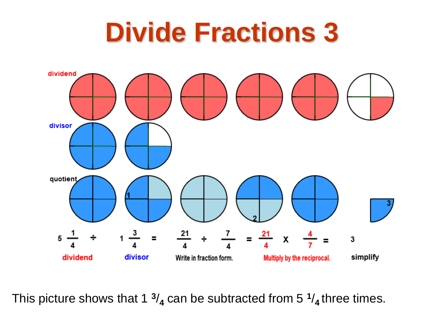

This picture shows that 1  $\frac{3}{4}$  can be subtracted from 5  $\frac{1}{4}$  three times.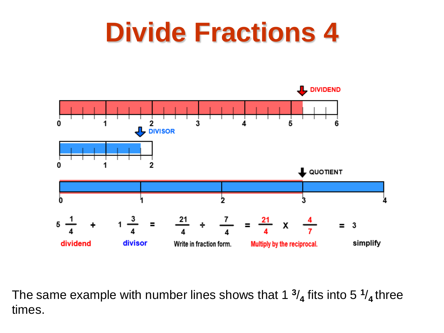

The same example with number lines shows that 1 **<sup>3</sup>**/**<sup>4</sup>** fits into 5 **<sup>1</sup>**/**4** three times.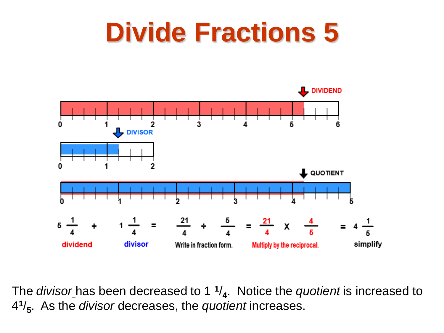

The *divisor* has been decreased to 1 **<sup>1</sup>**/**4**. Notice the *quotient* is increased to 4**<sup>1</sup>**/**5**. As the *divisor* decreases, the *quotient* increases.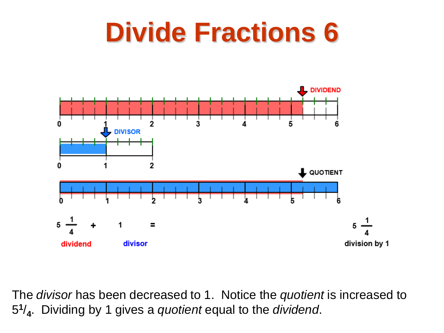

The *divisor* has been decreased to 1. Notice the *quotient* is increased to 5**<sup>1</sup>**/**4**. Dividing by 1 gives a *quotient* equal to the *dividend*.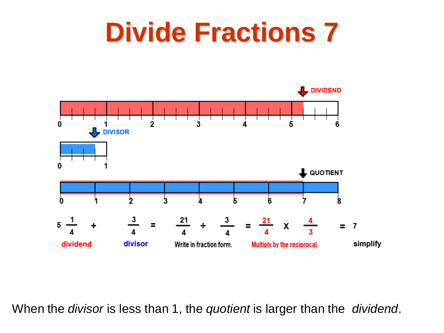

When the *divisor* is less than 1, the *quotient* is larger than the *dividend*.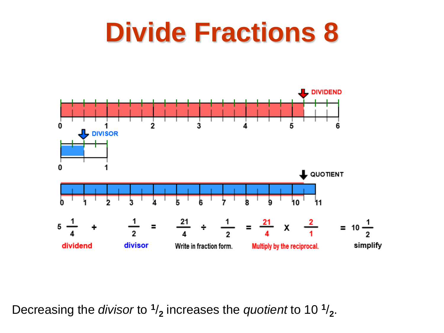

Decreasing the *divisor* to  $\frac{1}{2}$  increases the *quotient* to 10  $\frac{1}{2}$ .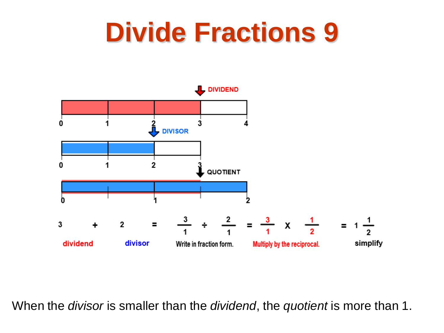

When the *divisor* is smaller than the *dividend*, the *quotient* is more than 1.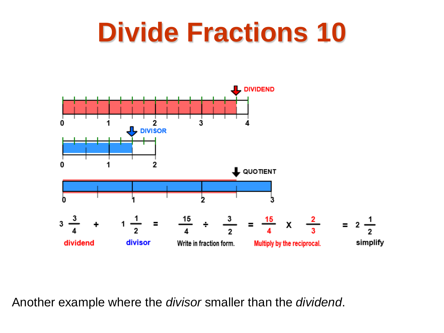

Another example where the *divisor* smaller than the *dividend*.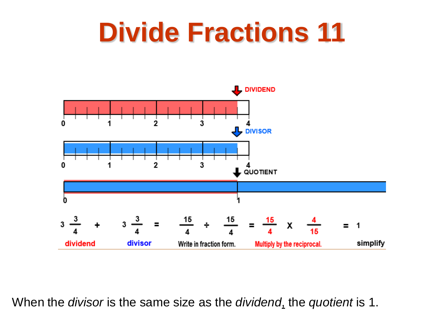

When the *divisor* is the same size as the *dividend*, the *quotient* is 1.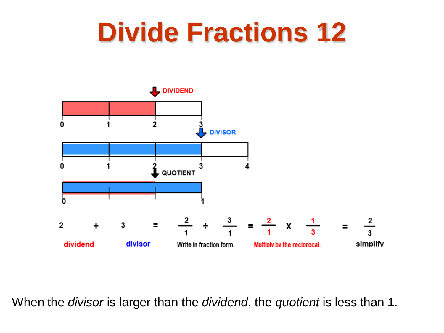

When the *divisor* is larger than the *dividend*, the *quotient* is less than 1.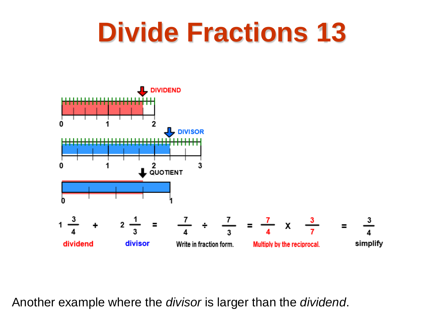

Another example where the *divisor* is larger than the *dividend*.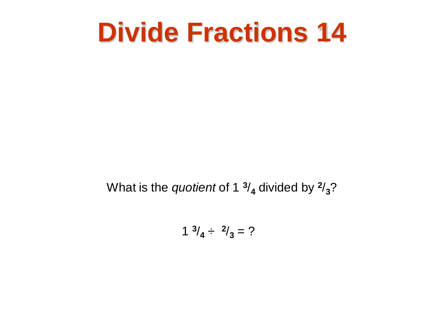What is the *quotient* of 1  $\frac{3}{4}$  divided by  $\frac{2}{3}$ ?

$$
1 \frac{3}{4} \div \frac{2}{3} = ?
$$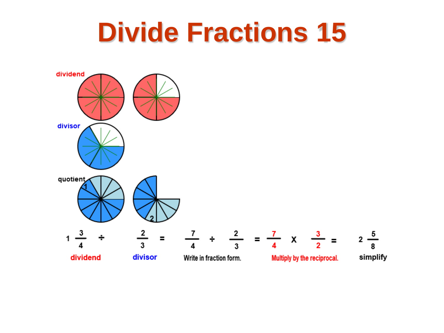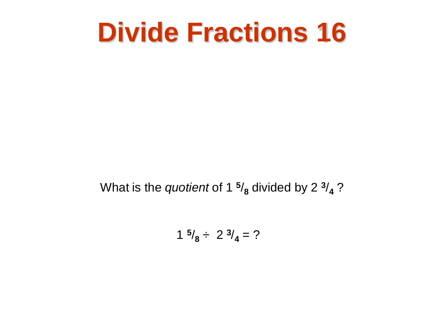What is the *quotient* of 1  $\frac{5}{8}$  divided by 2  $\frac{3}{4}$  ?

$$
1 \frac{5}{8} \div 2 \frac{3}{4} = ?
$$